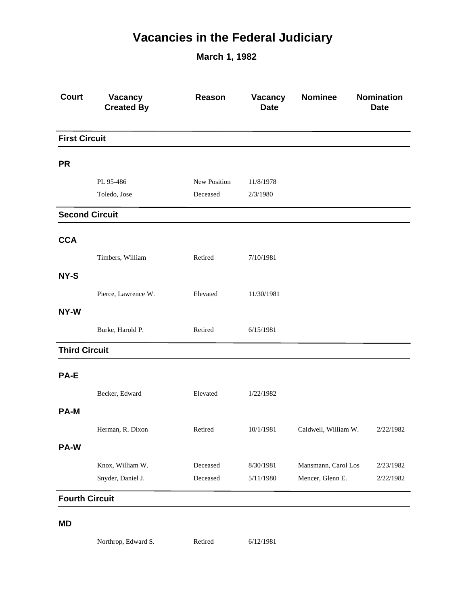## **Vacancies in the Federal Judiciary**

**March 1, 1982**

| <b>Court</b>          | Vacancy<br><b>Created By</b> | Reason       | Vacancy<br><b>Date</b> | <b>Nominee</b>       | Nomination<br><b>Date</b> |
|-----------------------|------------------------------|--------------|------------------------|----------------------|---------------------------|
| <b>First Circuit</b>  |                              |              |                        |                      |                           |
| <b>PR</b>             |                              |              |                        |                      |                           |
|                       | PL 95-486                    | New Position | 11/8/1978              |                      |                           |
|                       | Toledo, Jose                 | Deceased     | 2/3/1980               |                      |                           |
| <b>Second Circuit</b> |                              |              |                        |                      |                           |
| <b>CCA</b>            |                              |              |                        |                      |                           |
|                       | Timbers, William             | Retired      | 7/10/1981              |                      |                           |
| NY-S                  |                              |              |                        |                      |                           |
|                       | Pierce, Lawrence W.          | Elevated     | 11/30/1981             |                      |                           |
| NY-W                  |                              |              |                        |                      |                           |
|                       | Burke, Harold P.             | Retired      | 6/15/1981              |                      |                           |
| <b>Third Circuit</b>  |                              |              |                        |                      |                           |
| PA-E                  |                              |              |                        |                      |                           |
|                       | Becker, Edward               | Elevated     | 1/22/1982              |                      |                           |
| <b>PA-M</b>           |                              |              |                        |                      |                           |
|                       | Herman, R. Dixon             | Retired      | 10/1/1981              | Caldwell, William W. | 2/22/1982                 |
| PA-W                  |                              |              |                        |                      |                           |
|                       | Knox, William W.             | Deceased     | 8/30/1981              | Mansmann, Carol Los  | 2/23/1982                 |
|                       | Snyder, Daniel J.            | Deceased     | 5/11/1980              | Mencer, Glenn E.     | 2/22/1982                 |
| <b>Fourth Circuit</b> |                              |              |                        |                      |                           |
|                       |                              |              |                        |                      |                           |

## **MD**

Northrop, Edward S. Retired 6/12/1981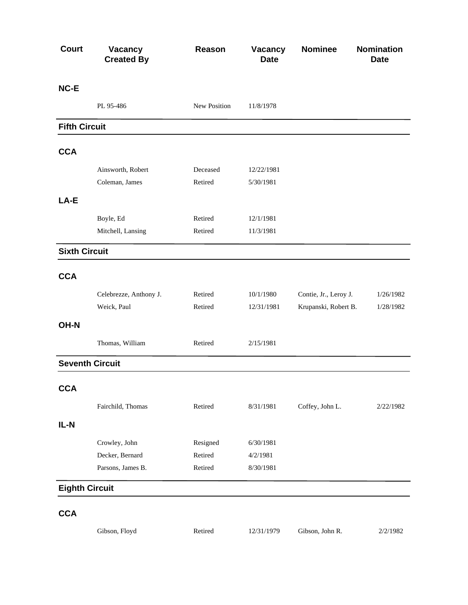| PL 95-486<br>Ainsworth, Robert<br>Coleman, James<br>Boyle, Ed<br>Mitchell, Lansing | New Position<br>Deceased<br>Retired | 11/8/1978<br>12/22/1981<br>5/30/1981 |                       |                      |
|------------------------------------------------------------------------------------|-------------------------------------|--------------------------------------|-----------------------|----------------------|
|                                                                                    |                                     |                                      |                       |                      |
|                                                                                    |                                     |                                      |                       |                      |
|                                                                                    |                                     |                                      |                       |                      |
|                                                                                    |                                     |                                      |                       |                      |
|                                                                                    |                                     |                                      |                       |                      |
|                                                                                    |                                     |                                      |                       |                      |
|                                                                                    |                                     |                                      |                       |                      |
|                                                                                    | Retired                             | 12/1/1981                            |                       |                      |
|                                                                                    | Retired                             | 11/3/1981                            |                       |                      |
| <b>Sixth Circuit</b>                                                               |                                     |                                      |                       |                      |
|                                                                                    |                                     |                                      |                       |                      |
| Celebrezze, Anthony J.                                                             | Retired                             | 10/1/1980                            | Contie, Jr., Leroy J. | 1/26/1982            |
| Weick, Paul                                                                        | Retired                             | 12/31/1981                           |                       | 1/28/1982            |
|                                                                                    |                                     |                                      |                       |                      |
| Thomas, William                                                                    | Retired                             | 2/15/1981                            |                       |                      |
| <b>Seventh Circuit</b>                                                             |                                     |                                      |                       |                      |
|                                                                                    |                                     |                                      |                       |                      |
| Fairchild, Thomas                                                                  | Retired                             | 8/31/1981                            | Coffey, John L.       | 2/22/1982            |
|                                                                                    |                                     |                                      |                       |                      |
| Crowley, John                                                                      | Resigned                            | 6/30/1981                            |                       |                      |
| Decker, Bernard                                                                    | Retired                             | 4/2/1981                             |                       |                      |
| Parsons, James B.                                                                  | Retired                             | 8/30/1981                            |                       |                      |
| <b>Eighth Circuit</b>                                                              |                                     |                                      |                       |                      |
|                                                                                    |                                     |                                      |                       | Krupanski, Robert B. |

Gibson, Floyd Retired 12/31/1979 Gibson, John R. 2/2/1982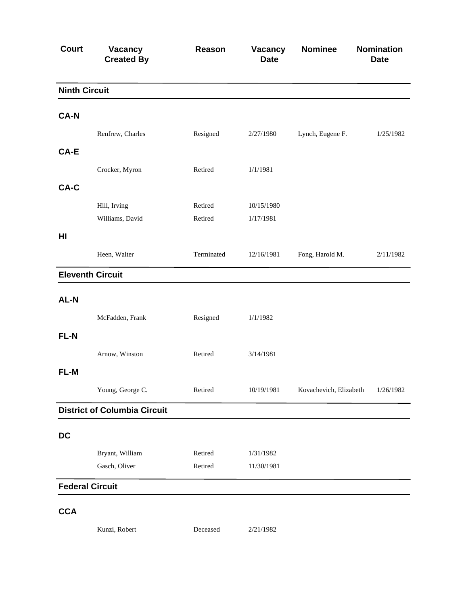| <b>Court</b>           | Vacancy<br><b>Created By</b>        | Reason             | Vacancy<br><b>Date</b>  | <b>Nominee</b>         | Nomination<br><b>Date</b> |
|------------------------|-------------------------------------|--------------------|-------------------------|------------------------|---------------------------|
| <b>Ninth Circuit</b>   |                                     |                    |                         |                        |                           |
| <b>CA-N</b>            |                                     |                    |                         |                        |                           |
|                        | Renfrew, Charles                    | Resigned           | 2/27/1980               | Lynch, Eugene F.       | 1/25/1982                 |
| CA-E                   |                                     |                    |                         |                        |                           |
|                        | Crocker, Myron                      | Retired            | 1/1/1981                |                        |                           |
| CA-C                   |                                     |                    |                         |                        |                           |
|                        | Hill, Irving                        | Retired            | 10/15/1980              |                        |                           |
|                        | Williams, David                     | Retired            | 1/17/1981               |                        |                           |
| H <sub>II</sub>        |                                     |                    |                         |                        |                           |
|                        | Heen, Walter                        | Terminated         | 12/16/1981              | Fong, Harold M.        | 2/11/1982                 |
|                        | <b>Eleventh Circuit</b>             |                    |                         |                        |                           |
| AL-N                   |                                     |                    |                         |                        |                           |
|                        | McFadden, Frank                     | Resigned           | 1/1/1982                |                        |                           |
| FL-N                   |                                     |                    |                         |                        |                           |
|                        | Arnow, Winston                      | Retired            | 3/14/1981               |                        |                           |
| FL-M                   |                                     |                    |                         |                        |                           |
|                        | Young, George C.                    | Retired            | 10/19/1981              | Kovachevich, Elizabeth | 1/26/1982                 |
|                        | <b>District of Columbia Circuit</b> |                    |                         |                        |                           |
| <b>DC</b>              |                                     |                    |                         |                        |                           |
|                        |                                     |                    |                         |                        |                           |
|                        | Bryant, William<br>Gasch, Oliver    | Retired<br>Retired | 1/31/1982<br>11/30/1981 |                        |                           |
|                        |                                     |                    |                         |                        |                           |
| <b>Federal Circuit</b> |                                     |                    |                         |                        |                           |
| <b>CCA</b>             |                                     |                    |                         |                        |                           |
|                        | Kunzi, Robert                       | Deceased           | 2/21/1982               |                        |                           |